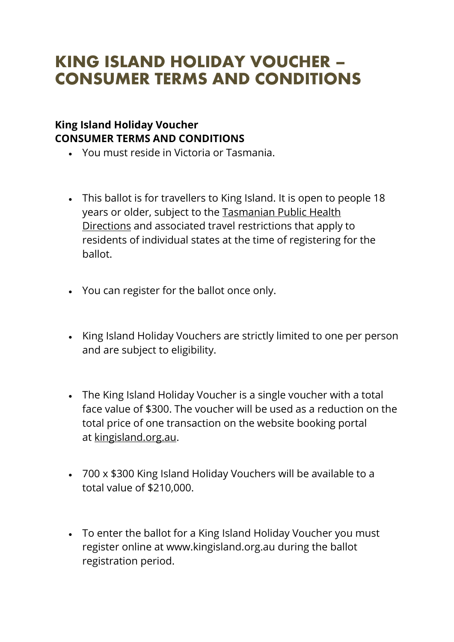## KING ISLAND HOLIDAY VOUCHER – CONSUMER TERMS AND CONDITIONS

## **King Island Holiday Voucher CONSUMER TERMS AND CONDITIONS**

- You must reside in Victoria or Tasmania.
- This ballot is for travellers to King Island. It is open to people 18 years or older, subject to the [Tasmanian](https://www.coronavirus.tas.gov.au/travellers-and-visitors/coming-to-tasmania) Public Health [Directions](https://www.coronavirus.tas.gov.au/travellers-and-visitors/coming-to-tasmania) and associated travel restrictions that apply to residents of individual states at the time of registering for the ballot.
- You can register for the ballot once only.
- King Island Holiday Vouchers are strictly limited to one per person and are subject to eligibility.
- The King Island Holiday Voucher is a single voucher with a total face value of \$300. The voucher will be used as a reduction on the total price of one transaction on the website booking portal at [kingisland.org.au.](http://www.kingisland.org.au/)
- 700 x \$300 King Island Holiday Vouchers will be available to a total value of \$210,000.
- To enter the ballot for a King Island Holiday Voucher you must register online at www.kingisland.org.au during the ballot registration period.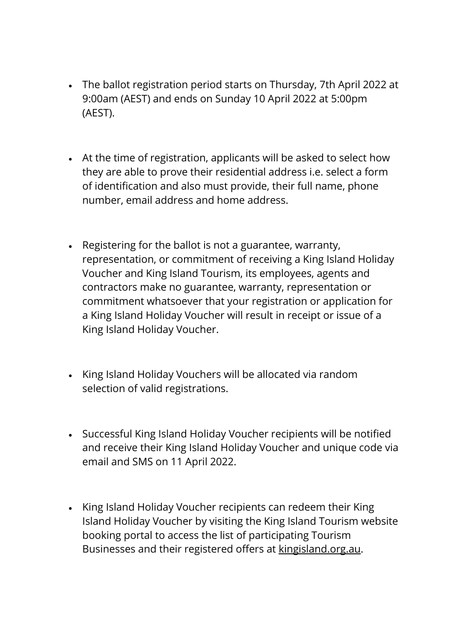- The ballot registration period starts on Thursday, 7th April 2022 at 9:00am (AEST) and ends on Sunday 10 April 2022 at 5:00pm (AEST).
- At the time of registration, applicants will be asked to select how they are able to prove their residential address i.e. select a form of identification and also must provide, their full name, phone number, email address and home address.
- Registering for the ballot is not a guarantee, warranty, representation, or commitment of receiving a King Island Holiday Voucher and King Island Tourism, its employees, agents and contractors make no guarantee, warranty, representation or commitment whatsoever that your registration or application for a King Island Holiday Voucher will result in receipt or issue of a King Island Holiday Voucher.
- King Island Holiday Vouchers will be allocated via random selection of valid registrations.
- Successful King Island Holiday Voucher recipients will be notified and receive their King Island Holiday Voucher and unique code via email and SMS on 11 April 2022.
- King Island Holiday Voucher recipients can redeem their King Island Holiday Voucher by visiting the King Island Tourism website booking portal to access the list of participating Tourism Businesses and their registered offers at [kingisland.org.au.](http://www.kingisland.org.au/)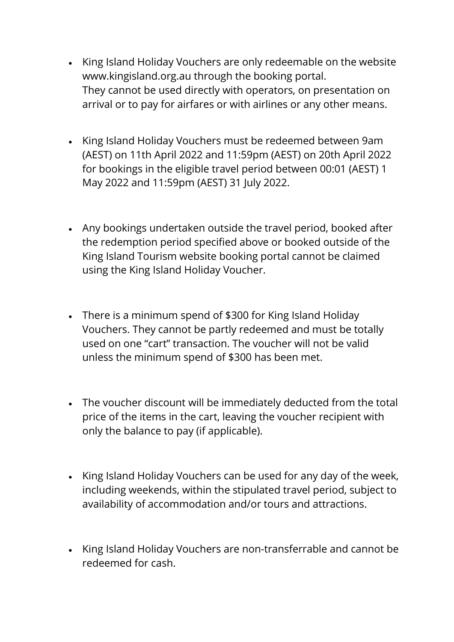- King Island Holiday Vouchers are only redeemable on the website www.kingisland.org.au through the booking portal. They cannot be used directly with operators, on presentation on arrival or to pay for airfares or with airlines or any other means.
- King Island Holiday Vouchers must be redeemed between 9am (AEST) on 11th April 2022 and 11:59pm (AEST) on 20th April 2022 for bookings in the eligible travel period between 00:01 (AEST) 1 May 2022 and 11:59pm (AEST) 31 July 2022.
- Any bookings undertaken outside the travel period, booked after the redemption period specified above or booked outside of the King Island Tourism website booking portal cannot be claimed using the King Island Holiday Voucher.
- There is a minimum spend of \$300 for King Island Holiday Vouchers. They cannot be partly redeemed and must be totally used on one "cart" transaction. The voucher will not be valid unless the minimum spend of \$300 has been met.
- The voucher discount will be immediately deducted from the total price of the items in the cart, leaving the voucher recipient with only the balance to pay (if applicable).
- King Island Holiday Vouchers can be used for any day of the week, including weekends, within the stipulated travel period, subject to availability of accommodation and/or tours and attractions.
- King Island Holiday Vouchers are non-transferrable and cannot be redeemed for cash.